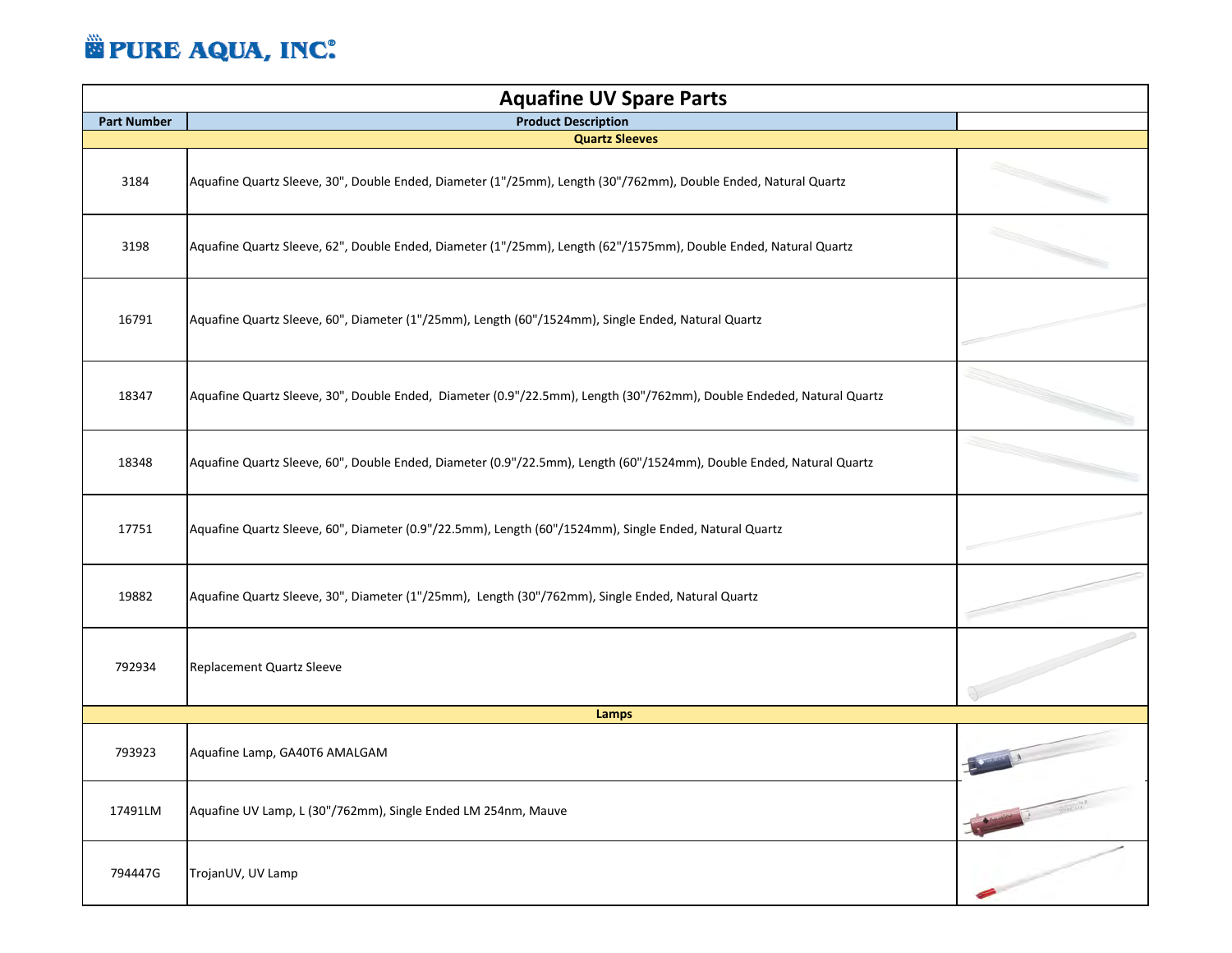## **E PURE AQUA, INC.**

| <b>Aquafine UV Spare Parts</b> |                                                                                                                       |                                                  |  |  |
|--------------------------------|-----------------------------------------------------------------------------------------------------------------------|--------------------------------------------------|--|--|
| <b>Part Number</b>             | <b>Product Description</b>                                                                                            |                                                  |  |  |
|                                | <b>Quartz Sleeves</b>                                                                                                 |                                                  |  |  |
| 3184                           | Aquafine Quartz Sleeve, 30", Double Ended, Diameter (1"/25mm), Length (30"/762mm), Double Ended, Natural Quartz       |                                                  |  |  |
| 3198                           | Aquafine Quartz Sleeve, 62", Double Ended, Diameter (1"/25mm), Length (62"/1575mm), Double Ended, Natural Quartz      |                                                  |  |  |
| 16791                          | Aquafine Quartz Sleeve, 60", Diameter (1"/25mm), Length (60"/1524mm), Single Ended, Natural Quartz                    |                                                  |  |  |
| 18347                          | Aquafine Quartz Sleeve, 30", Double Ended, Diameter (0.9"/22.5mm), Length (30"/762mm), Double Endeded, Natural Quartz |                                                  |  |  |
| 18348                          | Aquafine Quartz Sleeve, 60", Double Ended, Diameter (0.9"/22.5mm), Length (60"/1524mm), Double Ended, Natural Quartz  |                                                  |  |  |
| 17751                          | Aquafine Quartz Sleeve, 60", Diameter (0.9"/22.5mm), Length (60"/1524mm), Single Ended, Natural Quartz                |                                                  |  |  |
| 19882                          | Aquafine Quartz Sleeve, 30", Diameter (1"/25mm), Length (30"/762mm), Single Ended, Natural Quartz                     |                                                  |  |  |
| 792934                         | Replacement Quartz Sleeve                                                                                             |                                                  |  |  |
|                                | Lamps                                                                                                                 |                                                  |  |  |
| 793923                         | Aquafine Lamp, GA40T6 AMALGAM                                                                                         |                                                  |  |  |
| 17491LM                        | Aquafine UV Lamp, L (30"/762mm), Single Ended LM 254nm, Mauve                                                         | <b>Service of the Service Adventure Property</b> |  |  |
| 794447G                        | TrojanUV, UV Lamp                                                                                                     |                                                  |  |  |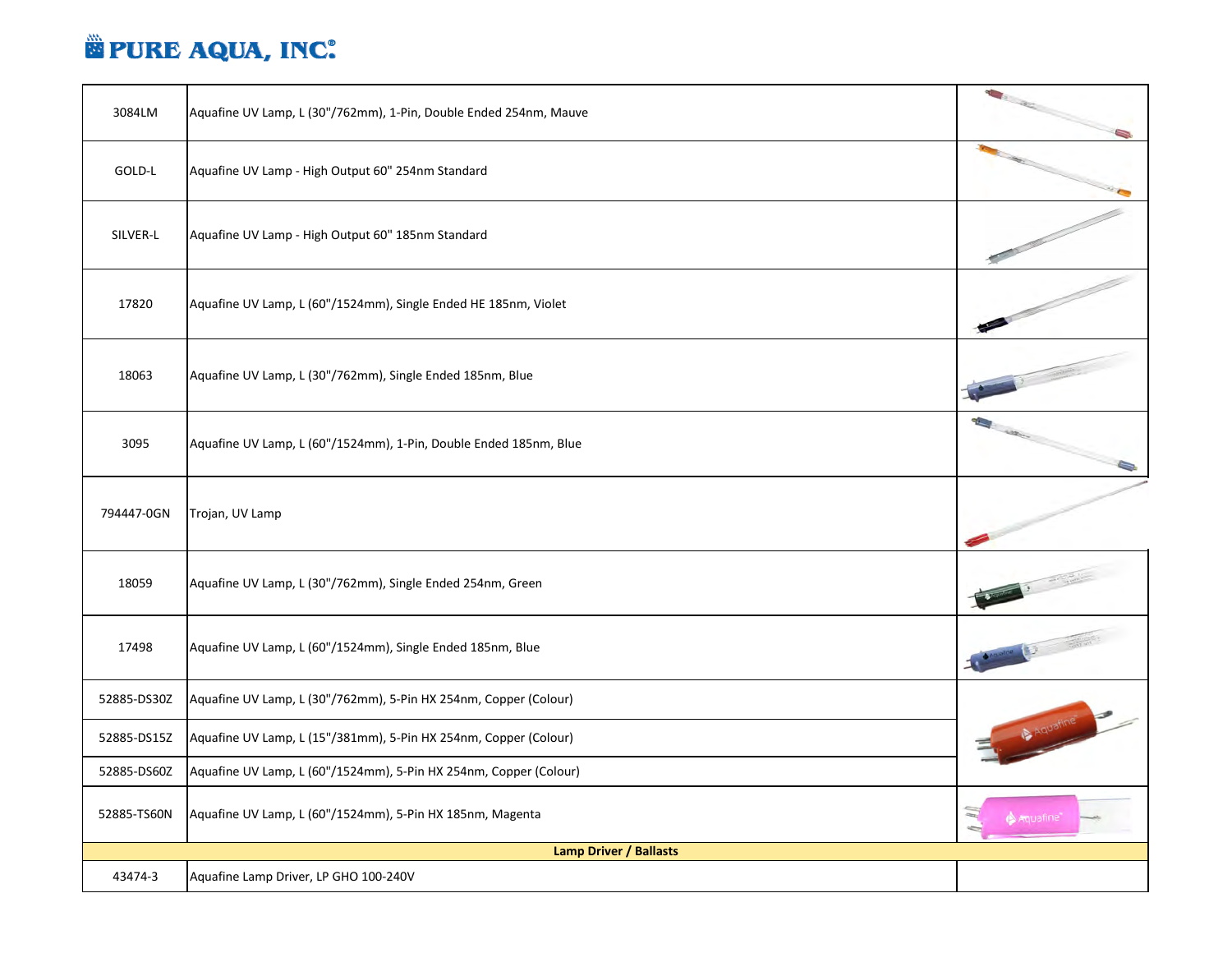## **E PURE AQUA, INC.**

| 3084LM                        | Aquafine UV Lamp, L (30"/762mm), 1-Pin, Double Ended 254nm, Mauve | <b>Charles</b> |  |
|-------------------------------|-------------------------------------------------------------------|----------------|--|
| GOLD-L                        | Aquafine UV Lamp - High Output 60" 254nm Standard                 |                |  |
| SILVER-L                      | Aquafine UV Lamp - High Output 60" 185nm Standard                 |                |  |
| 17820                         | Aquafine UV Lamp, L (60"/1524mm), Single Ended HE 185nm, Violet   |                |  |
| 18063                         | Aquafine UV Lamp, L (30"/762mm), Single Ended 185nm, Blue         |                |  |
| 3095                          | Aquafine UV Lamp, L (60"/1524mm), 1-Pin, Double Ended 185nm, Blue | $\bullet$      |  |
| 794447-0GN                    | Trojan, UV Lamp                                                   |                |  |
| 18059                         | Aquafine UV Lamp, L (30"/762mm), Single Ended 254nm, Green        |                |  |
| 17498                         | Aquafine UV Lamp, L (60"/1524mm), Single Ended 185nm, Blue        |                |  |
| 52885-DS30Z                   | Aquafine UV Lamp, L (30"/762mm), 5-Pin HX 254nm, Copper (Colour)  |                |  |
| 52885-DS15Z                   | Aquafine UV Lamp, L (15"/381mm), 5-Pin HX 254nm, Copper (Colour)  | A Aquatine     |  |
| 52885-DS60Z                   | Aquafine UV Lamp, L (60"/1524mm), 5-Pin HX 254nm, Copper (Colour) |                |  |
| 52885-TS60N                   | Aquafine UV Lamp, L (60"/1524mm), 5-Pin HX 185nm, Magenta         |                |  |
| <b>Lamp Driver / Ballasts</b> |                                                                   |                |  |
| 43474-3                       | Aquafine Lamp Driver, LP GHO 100-240V                             |                |  |